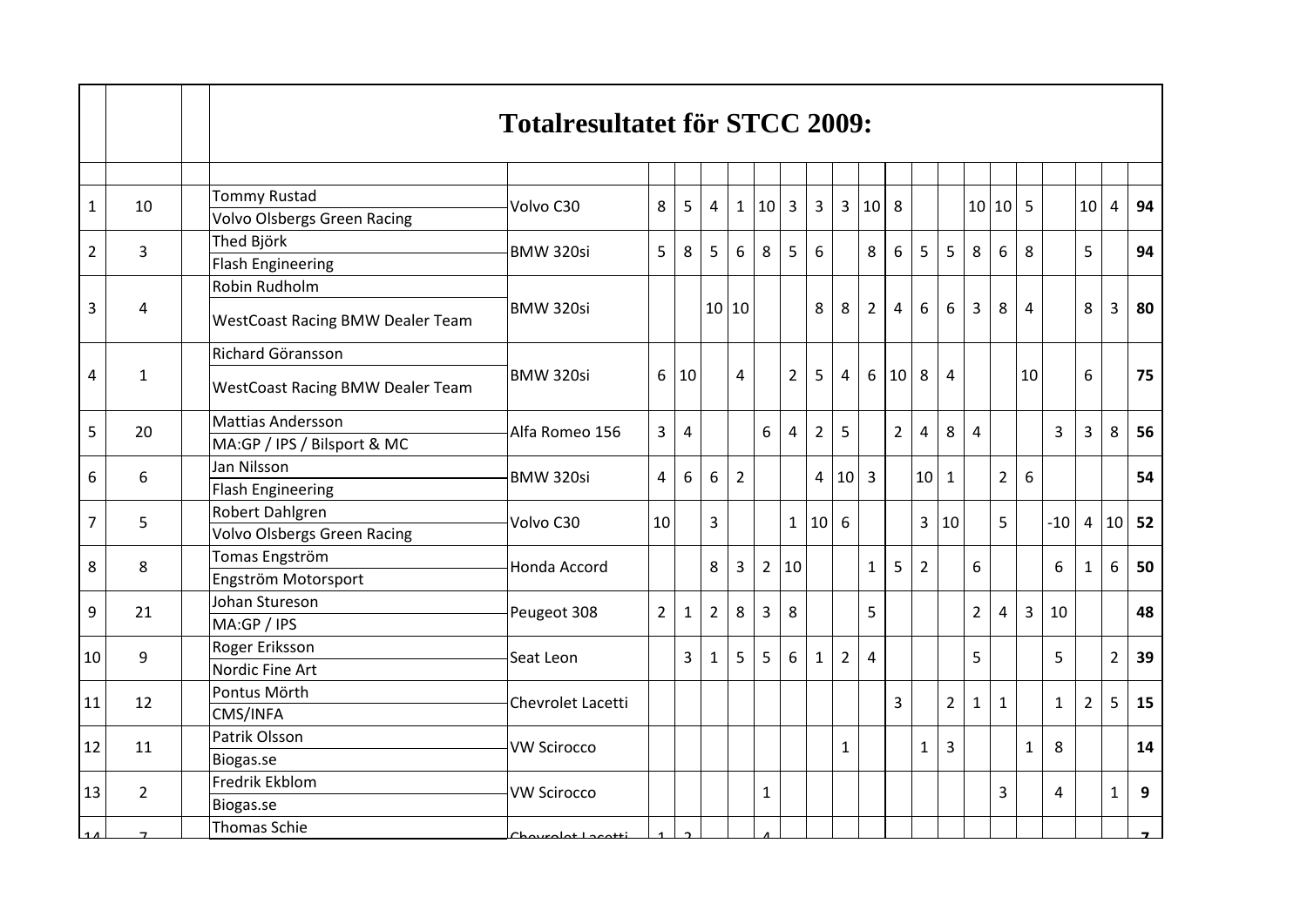|                |                | <b>Totalresultatet för STCC 2009:</b> |                                    |                |              |                |                |                |                |                |                |                |                |              |                |                 |                 |                |              |                |                |    |    |
|----------------|----------------|---------------------------------------|------------------------------------|----------------|--------------|----------------|----------------|----------------|----------------|----------------|----------------|----------------|----------------|--------------|----------------|-----------------|-----------------|----------------|--------------|----------------|----------------|----|----|
|                | 10             | <b>Tommy Rustad</b>                   | Volvo C30                          |                | 5            |                |                | 10             | $\overline{3}$ | 3              | $\overline{3}$ | 10             | 8              |              |                | 10 <sup>1</sup> | 10 <sup>1</sup> | 5              |              | 10             |                | 94 |    |
| 1              |                | <b>Volvo Olsbergs Green Racing</b>    |                                    | 8              |              | 4              | $\mathbf{1}$   |                |                |                |                |                |                |              |                |                 |                 |                |              |                | 4              |    |    |
| $\overline{2}$ | 3              | Thed Björk                            | BMW 320si                          | 5              | 8            | 5              | 6              | 8              | 5              | 6              |                | 8              | 6              | 5            | 5              | 8               | 6               | 8              |              | 5              |                | 94 |    |
|                |                | Flash Engineering                     |                                    |                |              |                |                |                |                |                |                |                |                |              |                |                 |                 |                |              |                |                |    |    |
|                |                | Robin Rudholm                         |                                    |                |              |                |                |                |                |                |                |                |                |              |                |                 |                 |                |              |                |                |    |    |
| 3              | $\overline{4}$ | WestCoast Racing BMW Dealer Team      | BMW 320si                          |                |              | 10             | 10             |                |                | 8              | 8              | $\overline{2}$ | $\overline{4}$ | 6            | 6              | 3               | 8               | $\overline{4}$ | 8            | 3              | 80             |    |    |
| 4              |                | Richard Göransson                     |                                    |                |              |                |                |                |                |                |                |                |                |              |                |                 |                 |                |              |                |                |    |    |
|                | $\mathbf{1}$   | WestCoast Racing BMW Dealer Team      | BMW 320si                          | 6              | 10           |                | 4              |                | $\overline{2}$ | 5              | 4              | 6              | 10             | 8            | $\overline{4}$ |                 |                 | 10             |              | 6              |                | 75 |    |
| 5              |                | <b>Mattias Andersson</b>              | Alfa Romeo 156                     |                |              |                |                |                |                |                |                |                |                |              |                |                 |                 |                |              |                |                |    |    |
|                | 20             | MA:GP / IPS / Bilsport & MC           |                                    | 3              | 4            |                |                | 6              | 4              | $\overline{2}$ | 5              |                | $\overline{2}$ | 4            | 8              | 4               |                 |                | 3            | 3              | 8              | 56 |    |
|                | 6              | Jan Nilsson                           | BMW 320si                          | 4              | 6            | 6              |                |                |                | $\overline{4}$ | 10             | $\overline{3}$ |                | 10           | $\mathbf{1}$   |                 |                 | 6              |              |                |                | 54 |    |
| 6              |                | <b>Flash Engineering</b>              |                                    |                |              |                | $\overline{2}$ |                |                |                |                |                |                |              |                |                 | $\overline{2}$  |                |              |                |                |    |    |
| 7              | 5              | Robert Dahlgren                       | Volvo C30                          | 10             |              | 3              |                |                | $\mathbf{1}$   | 10             | 6              |                |                |              |                |                 | 5               |                | $-10$        | $\overline{4}$ | 10             | 52 |    |
|                |                | <b>Volvo Olsbergs Green Racing</b>    |                                    |                |              |                |                |                |                |                |                |                |                | 10<br>3      |                |                 |                 |                |              |                |                |    |    |
| 8              | 8              | Tomas Engström                        | Honda Accord                       |                |              | 8              | 3              | $\overline{2}$ | 10             |                |                | $\mathbf{1}$   |                | 5            | $\overline{2}$ |                 | 6               |                |              | 6              | $\mathbf{1}$   | 6  | 50 |
|                |                | Engström Motorsport                   |                                    |                |              |                |                |                |                |                |                |                |                |              |                |                 |                 |                |              |                |                |    |    |
| 9              | 21             | Johan Stureson                        | Peugeot 308                        | $\overline{2}$ | $\mathbf{1}$ | $\overline{2}$ | 8              | $\overline{3}$ | 8              |                |                | 5              |                |              |                | $\overline{2}$  | 4               | 3              | 10           |                |                | 48 |    |
|                |                | MA:GP / IPS                           |                                    |                |              |                |                |                |                |                |                |                |                |              |                |                 |                 |                |              |                |                |    |    |
| 10             | 9              | Roger Eriksson                        | Seat Leon                          |                | 3            | $\mathbf{1}$   | 5              | 5              | 6              | $\mathbf{1}$   | $\overline{2}$ | 4              |                |              |                | 5               |                 |                | 5            |                | $\overline{2}$ | 39 |    |
|                |                | Nordic Fine Art                       |                                    |                |              |                |                |                |                |                |                |                |                |              |                |                 |                 |                |              |                |                |    |    |
| 11             | 12             | Pontus Mörth                          | Chevrolet Lacetti                  |                |              |                |                |                |                |                |                |                | 3              |              | $\overline{2}$ | 1               | $\mathbf{1}$    |                | $\mathbf{1}$ | $\overline{2}$ | 5              | 15 |    |
|                |                | CMS/INFA                              |                                    |                |              |                |                |                |                |                |                |                |                |              |                |                 |                 |                |              |                |                |    |    |
| 12             | 11             | Patrik Olsson                         | <b>VW Scirocco</b>                 |                |              |                |                |                |                |                | 1              |                |                | $\mathbf{1}$ | 3              |                 |                 | $\mathbf{1}$   | 8            |                |                | 14 |    |
|                |                | Biogas.se                             |                                    |                |              |                |                |                |                |                |                |                |                |              |                |                 |                 |                |              |                |                |    |    |
| 13             | $\overline{2}$ | Fredrik Ekblom                        | <b>VW Scirocco</b><br>$\mathbf{1}$ |                |              |                |                |                |                |                |                | 3              |                | 4            |                | $\mathbf{1}$    | 9               |                |              |                |                |    |    |
|                |                | Biogas.se                             |                                    |                |              |                |                |                |                |                |                |                |                |              |                |                 |                 |                |              |                |                |    |    |
|                |                | <b>Thomas Schie</b>                   | $Chowah + Loo++i$                  |                |              |                |                |                |                |                |                |                |                |              |                |                 |                 |                |              |                |                |    |    |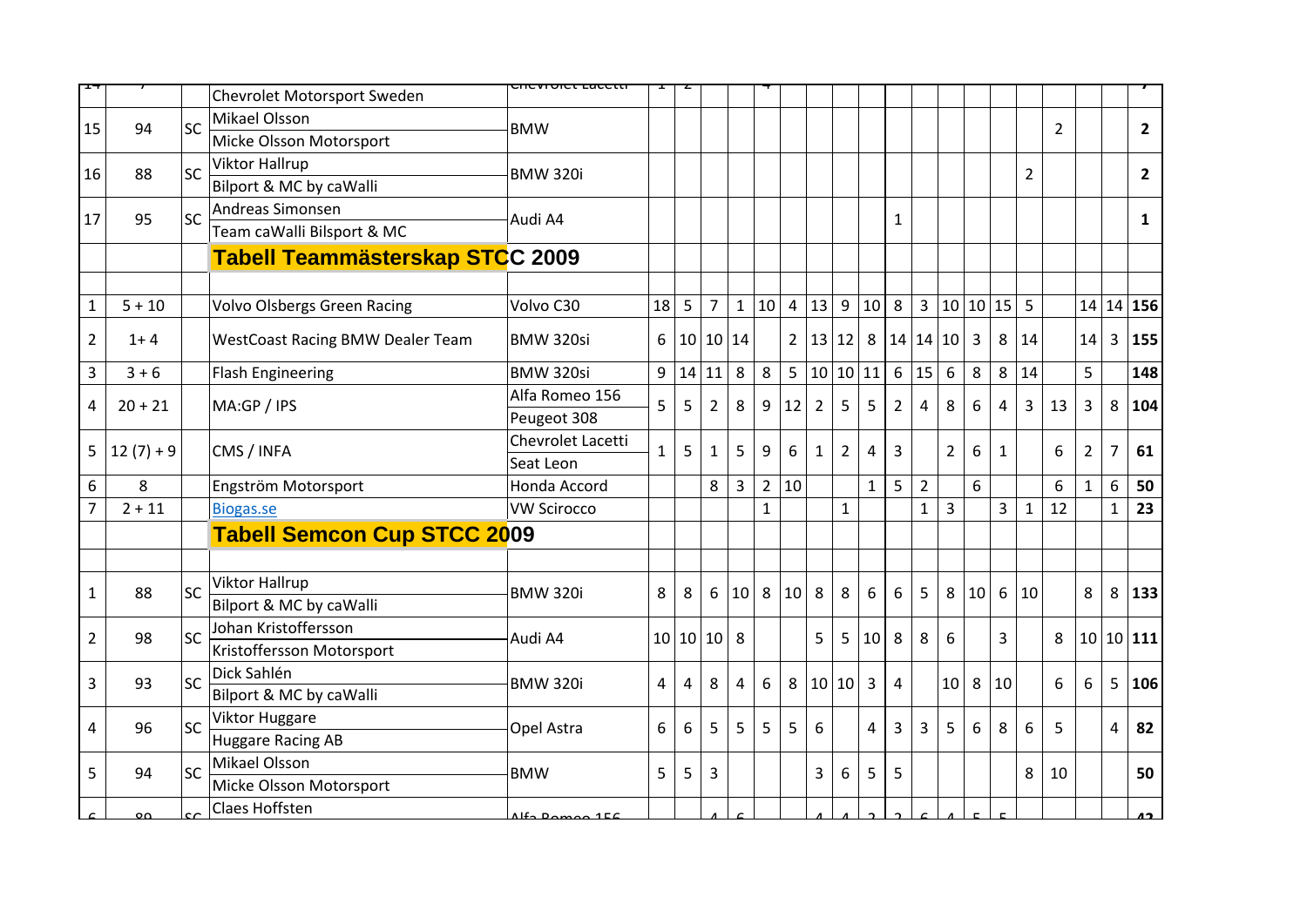|                |             |           | Chevrolet Motorsport Sweden             | <del>snevroiet tatetti</del> |              |          |                |              |                  |                |                |                |                 |                 |                |                 |          |    |                |                |                |                |                |
|----------------|-------------|-----------|-----------------------------------------|------------------------------|--------------|----------|----------------|--------------|------------------|----------------|----------------|----------------|-----------------|-----------------|----------------|-----------------|----------|----|----------------|----------------|----------------|----------------|----------------|
|                |             |           |                                         |                              |              |          |                |              |                  |                |                |                |                 |                 |                |                 |          |    |                |                |                |                |                |
| 15             | 94          | <b>SC</b> | Mikael Olsson                           | <b>BMW</b>                   |              |          |                |              |                  |                |                |                |                 |                 |                |                 |          |    |                | $\overline{2}$ |                |                | $\overline{2}$ |
|                |             |           | Micke Olsson Motorsport                 |                              |              |          |                |              |                  |                |                |                |                 |                 |                |                 |          |    |                |                |                |                |                |
| 16             | 88          | SC        | <b>Viktor Hallrup</b>                   | <b>BMW 320i</b>              |              |          |                |              |                  |                |                |                |                 |                 |                |                 |          |    | $\overline{2}$ |                |                |                | $\overline{2}$ |
|                |             |           | Bilport & MC by caWalli                 |                              |              |          |                |              |                  |                |                |                |                 |                 |                |                 |          |    |                |                |                |                |                |
| 17             | 95          | <b>SC</b> | Andreas Simonsen                        | Audi A4                      |              |          |                |              |                  |                |                |                |                 | $\mathbf{1}$    |                |                 |          |    |                |                |                |                | 1              |
|                |             |           | Team caWalli Bilsport & MC              |                              |              |          |                |              |                  |                |                |                |                 |                 |                |                 |          |    |                |                |                |                |                |
|                |             |           | Tabell Teammästerskap STCC 2009         |                              |              |          |                |              |                  |                |                |                |                 |                 |                |                 |          |    |                |                |                |                |                |
|                |             |           |                                         |                              |              |          |                |              |                  |                |                |                |                 |                 |                |                 |          |    |                |                |                |                |                |
| $\mathbf{1}$   | $5 + 10$    |           | Volvo Olsbergs Green Racing             | Volvo C30                    | 18           | 5        | $\overline{7}$ | $\mathbf{1}$ | 10               | $\overline{4}$ | 13             | $9\,$          | 10              | 8               | $\overline{3}$ |                 | 10 10 15 |    | 5              |                | 14             |                | 14 156         |
| $\overline{2}$ | $1 + 4$     |           | <b>WestCoast Racing BMW Dealer Team</b> | BMW 320si                    | 6            |          | 10 10 14       |              |                  | $2^{\circ}$    | 13 12          |                | 8               | 14 14           |                | 10              | 3        | 8  | 14             |                | 14             | 3              | 155            |
| 3              | $3 + 6$     |           | <b>Flash Engineering</b>                | BMW 320si                    | 9            | 14 11    |                | 8            | $\,8\,$          | 5 <sup>1</sup> |                | 10 10 11       |                 | $6\phantom{1}6$ | 15             | 6 <sup>1</sup>  | 8        | 8  | 14             |                | 5              |                | 148            |
|                |             |           |                                         | Alfa Romeo 156               |              |          |                |              |                  |                |                |                |                 |                 |                |                 |          |    |                |                |                |                |                |
| 4              | $20 + 21$   |           | MA:GP / IPS                             | Peugeot 308                  | 5            | 5        | $\overline{2}$ | 8            | $\boldsymbol{9}$ | 12             | $\overline{2}$ | 5              | 5               | $\overline{2}$  | 4              | 8               | 6        | 4  | 3              | 13             | 3              | 8              | 104            |
| 5              | $12(7) + 9$ |           | CMS / INFA                              | Chevrolet Lacetti            | $\mathbf{1}$ | 5        | $\mathbf{1}$   | 5            | 9                | 6              | $\mathbf{1}$   | $\overline{2}$ | 4               | $\overline{3}$  |                | $\overline{2}$  | 6        | 1  |                | 6              | $\overline{2}$ | $\overline{7}$ | 61             |
|                |             |           |                                         | Seat Leon                    |              |          |                |              |                  |                |                |                |                 |                 |                |                 |          |    |                |                |                |                |                |
| 6              | 8           |           | Engström Motorsport                     | Honda Accord                 |              |          | 8              | 3            | $\overline{2}$   | 10             |                |                | $\mathbf{1}$    | 5               | $\overline{2}$ |                 | 6        |    |                | 6              | $\mathbf{1}$   | 6              | 50             |
| 7              | $2 + 11$    |           | Biogas.se                               | <b>VW Scirocco</b>           |              |          |                |              | $\mathbf{1}$     |                |                | $\mathbf{1}$   |                 |                 | $\mathbf{1}$   | $\overline{3}$  |          | 3  | $\mathbf{1}$   | 12             |                | $\mathbf{1}$   | 23             |
|                |             |           | <b>Tabell Semcon Cup STCC 2009</b>      |                              |              |          |                |              |                  |                |                |                |                 |                 |                |                 |          |    |                |                |                |                |                |
|                |             |           |                                         |                              |              |          |                |              |                  |                |                |                |                 |                 |                |                 |          |    |                |                |                |                |                |
|                |             | SC        | <b>Viktor Hallrup</b>                   |                              |              |          |                |              |                  |                |                |                |                 |                 |                |                 |          |    |                |                |                |                |                |
| 1              | 88          |           | Bilport & MC by caWalli                 | <b>BMW 320i</b>              | 8            | 8        | 6              | 10           | 8                | 10             | 8              | 8              | 6               | 6               | 5              | 8               | 10       | 6  | 10             |                | 8              | 8              | 133            |
| $\overline{2}$ | 98          | <b>SC</b> | Johan Kristoffersson                    | Audi A4                      |              | 10 10 10 |                |              |                  |                | 5              | 5              | 10 <sup>1</sup> | 8               | 8              | 6               |          | 3  |                | 8              |                |                | $10 10 $ 111   |
|                |             |           | Kristoffersson Motorsport               |                              |              |          |                | 8            |                  |                |                |                |                 |                 |                |                 |          |    |                |                |                |                |                |
| 3              | 93          | <b>SC</b> | Dick Sahlén                             | <b>BMW 320i</b>              | 4            | 4        | 8              | 4            | 6                | 8              |                | 10 10          | $\overline{3}$  | 4               |                | 10 <sup>1</sup> | 8        | 10 |                | 6              | 6              | 5              | 106            |
|                |             |           | Bilport & MC by caWalli                 |                              |              |          |                |              |                  |                |                |                |                 |                 |                |                 |          |    |                |                |                |                |                |
|                | 96          |           | <b>Viktor Huggare</b>                   |                              |              |          |                |              |                  |                |                |                |                 |                 |                |                 |          |    |                |                |                | 4              |                |
| 4              |             | <b>SC</b> | <b>Huggare Racing AB</b>                | Opel Astra                   | 6            | 6        | 5              | 5            | 5                | 5              | 6              |                | 4               | $\overline{3}$  | 3              | 5 <sup>1</sup>  | 6        | 8  | 6              | 5              |                |                | 82             |
|                |             |           | Mikael Olsson                           |                              |              |          |                |              |                  |                |                | 6              | 5               | 5               |                |                 |          |    |                | 10             |                |                |                |
| 5              | 94          | <b>SC</b> | Micke Olsson Motorsport                 | <b>BMW</b>                   | 5            | 5        | 3              |              |                  |                | 3              |                |                 |                 |                |                 |          |    | 8              |                |                |                | 50             |
|                |             |           | Claes Hoffsten                          |                              |              |          |                |              |                  |                |                |                |                 |                 |                |                 |          |    |                |                |                |                |                |
|                | oΩ          |           |                                         | ممموم فالأ                   |              |          |                |              |                  |                |                |                |                 |                 |                |                 |          |    |                |                |                |                |                |